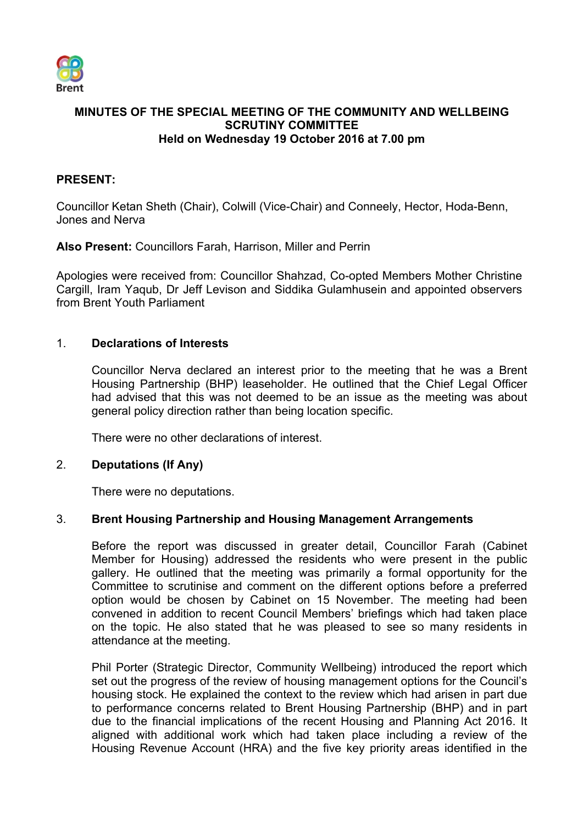

# **MINUTES OF THE SPECIAL MEETING OF THE COMMUNITY AND WELLBEING SCRUTINY COMMITTEE Held on Wednesday 19 October 2016 at 7.00 pm**

# **PRESENT:**

Councillor Ketan Sheth (Chair), Colwill (Vice-Chair) and Conneely, Hector, Hoda-Benn, Jones and Nerva

**Also Present:** Councillors Farah, Harrison, Miller and Perrin

Apologies were received from: Councillor Shahzad, Co-opted Members Mother Christine Cargill, Iram Yaqub, Dr Jeff Levison and Siddika Gulamhusein and appointed observers from Brent Youth Parliament

# 1. **Declarations of Interests**

Councillor Nerva declared an interest prior to the meeting that he was a Brent Housing Partnership (BHP) leaseholder. He outlined that the Chief Legal Officer had advised that this was not deemed to be an issue as the meeting was about general policy direction rather than being location specific.

There were no other declarations of interest.

### 2. **Deputations (If Any)**

There were no deputations.

### 3. **Brent Housing Partnership and Housing Management Arrangements**

Before the report was discussed in greater detail, Councillor Farah (Cabinet Member for Housing) addressed the residents who were present in the public gallery. He outlined that the meeting was primarily a formal opportunity for the Committee to scrutinise and comment on the different options before a preferred option would be chosen by Cabinet on 15 November. The meeting had been convened in addition to recent Council Members' briefings which had taken place on the topic. He also stated that he was pleased to see so many residents in attendance at the meeting.

Phil Porter (Strategic Director, Community Wellbeing) introduced the report which set out the progress of the review of housing management options for the Council's housing stock. He explained the context to the review which had arisen in part due to performance concerns related to Brent Housing Partnership (BHP) and in part due to the financial implications of the recent Housing and Planning Act 2016. It aligned with additional work which had taken place including a review of the Housing Revenue Account (HRA) and the five key priority areas identified in the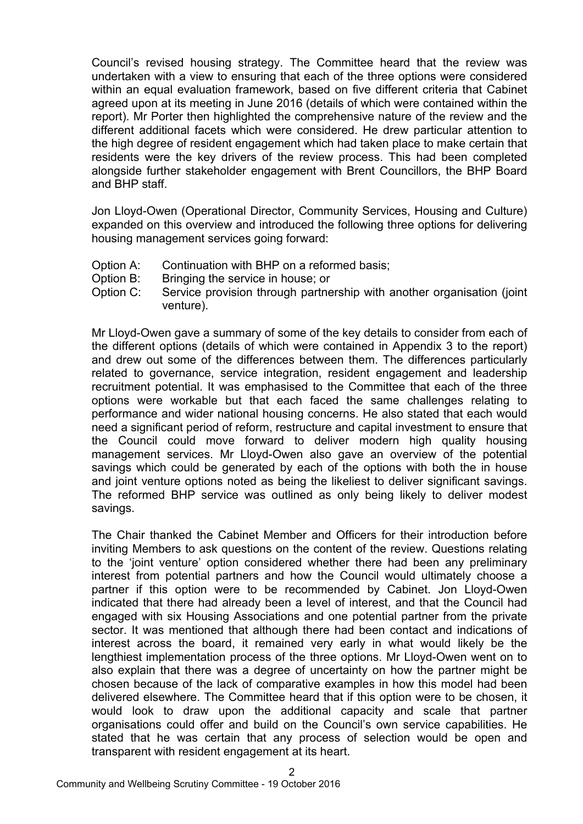Council's revised housing strategy. The Committee heard that the review was undertaken with a view to ensuring that each of the three options were considered within an equal evaluation framework, based on five different criteria that Cabinet agreed upon at its meeting in June 2016 (details of which were contained within the report). Mr Porter then highlighted the comprehensive nature of the review and the different additional facets which were considered. He drew particular attention to the high degree of resident engagement which had taken place to make certain that residents were the key drivers of the review process. This had been completed alongside further stakeholder engagement with Brent Councillors, the BHP Board and BHP staff.

Jon Lloyd-Owen (Operational Director, Community Services, Housing and Culture) expanded on this overview and introduced the following three options for delivering housing management services going forward:

- Option A: Continuation with BHP on a reformed basis;
- Option B: Bringing the service in house; or
- Option C: Service provision through partnership with another organisation (joint venture).

Mr Lloyd-Owen gave a summary of some of the key details to consider from each of the different options (details of which were contained in Appendix 3 to the report) and drew out some of the differences between them. The differences particularly related to governance, service integration, resident engagement and leadership recruitment potential. It was emphasised to the Committee that each of the three options were workable but that each faced the same challenges relating to performance and wider national housing concerns. He also stated that each would need a significant period of reform, restructure and capital investment to ensure that the Council could move forward to deliver modern high quality housing management services. Mr Lloyd-Owen also gave an overview of the potential savings which could be generated by each of the options with both the in house and joint venture options noted as being the likeliest to deliver significant savings. The reformed BHP service was outlined as only being likely to deliver modest savings.

The Chair thanked the Cabinet Member and Officers for their introduction before inviting Members to ask questions on the content of the review. Questions relating to the 'joint venture' option considered whether there had been any preliminary interest from potential partners and how the Council would ultimately choose a partner if this option were to be recommended by Cabinet. Jon Lloyd-Owen indicated that there had already been a level of interest, and that the Council had engaged with six Housing Associations and one potential partner from the private sector. It was mentioned that although there had been contact and indications of interest across the board, it remained very early in what would likely be the lengthiest implementation process of the three options. Mr Lloyd-Owen went on to also explain that there was a degree of uncertainty on how the partner might be chosen because of the lack of comparative examples in how this model had been delivered elsewhere. The Committee heard that if this option were to be chosen, it would look to draw upon the additional capacity and scale that partner organisations could offer and build on the Council's own service capabilities. He stated that he was certain that any process of selection would be open and transparent with resident engagement at its heart.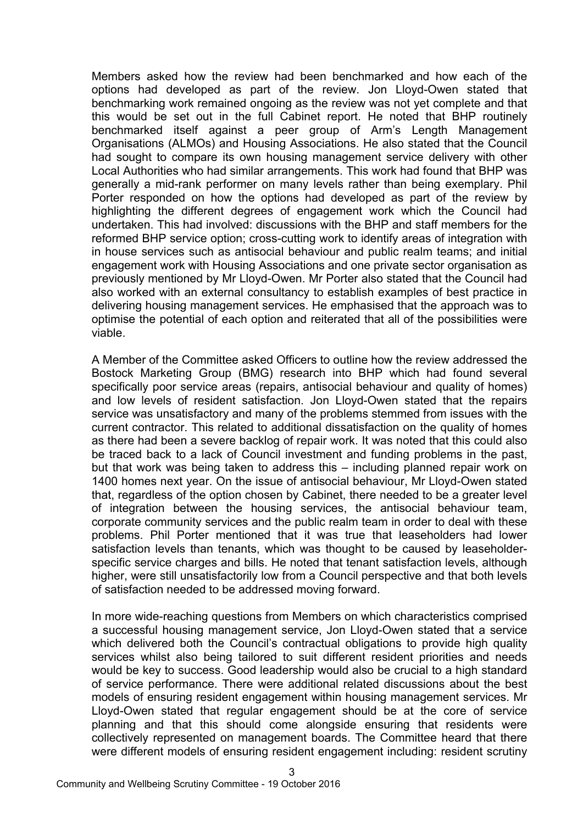Members asked how the review had been benchmarked and how each of the options had developed as part of the review. Jon Lloyd-Owen stated that benchmarking work remained ongoing as the review was not yet complete and that this would be set out in the full Cabinet report. He noted that BHP routinely benchmarked itself against a peer group of Arm's Length Management Organisations (ALMOs) and Housing Associations. He also stated that the Council had sought to compare its own housing management service delivery with other Local Authorities who had similar arrangements. This work had found that BHP was generally a mid-rank performer on many levels rather than being exemplary. Phil Porter responded on how the options had developed as part of the review by highlighting the different degrees of engagement work which the Council had undertaken. This had involved: discussions with the BHP and staff members for the reformed BHP service option; cross-cutting work to identify areas of integration with in house services such as antisocial behaviour and public realm teams; and initial engagement work with Housing Associations and one private sector organisation as previously mentioned by Mr Lloyd-Owen. Mr Porter also stated that the Council had also worked with an external consultancy to establish examples of best practice in delivering housing management services. He emphasised that the approach was to optimise the potential of each option and reiterated that all of the possibilities were viable.

A Member of the Committee asked Officers to outline how the review addressed the Bostock Marketing Group (BMG) research into BHP which had found several specifically poor service areas (repairs, antisocial behaviour and quality of homes) and low levels of resident satisfaction. Jon Lloyd-Owen stated that the repairs service was unsatisfactory and many of the problems stemmed from issues with the current contractor. This related to additional dissatisfaction on the quality of homes as there had been a severe backlog of repair work. It was noted that this could also be traced back to a lack of Council investment and funding problems in the past, but that work was being taken to address this – including planned repair work on 1400 homes next year. On the issue of antisocial behaviour, Mr Lloyd-Owen stated that, regardless of the option chosen by Cabinet, there needed to be a greater level of integration between the housing services, the antisocial behaviour team, corporate community services and the public realm team in order to deal with these problems. Phil Porter mentioned that it was true that leaseholders had lower satisfaction levels than tenants, which was thought to be caused by leaseholderspecific service charges and bills. He noted that tenant satisfaction levels, although higher, were still unsatisfactorily low from a Council perspective and that both levels of satisfaction needed to be addressed moving forward.

In more wide-reaching questions from Members on which characteristics comprised a successful housing management service, Jon Lloyd-Owen stated that a service which delivered both the Council's contractual obligations to provide high quality services whilst also being tailored to suit different resident priorities and needs would be key to success. Good leadership would also be crucial to a high standard of service performance. There were additional related discussions about the best models of ensuring resident engagement within housing management services. Mr Lloyd-Owen stated that regular engagement should be at the core of service planning and that this should come alongside ensuring that residents were collectively represented on management boards. The Committee heard that there were different models of ensuring resident engagement including: resident scrutiny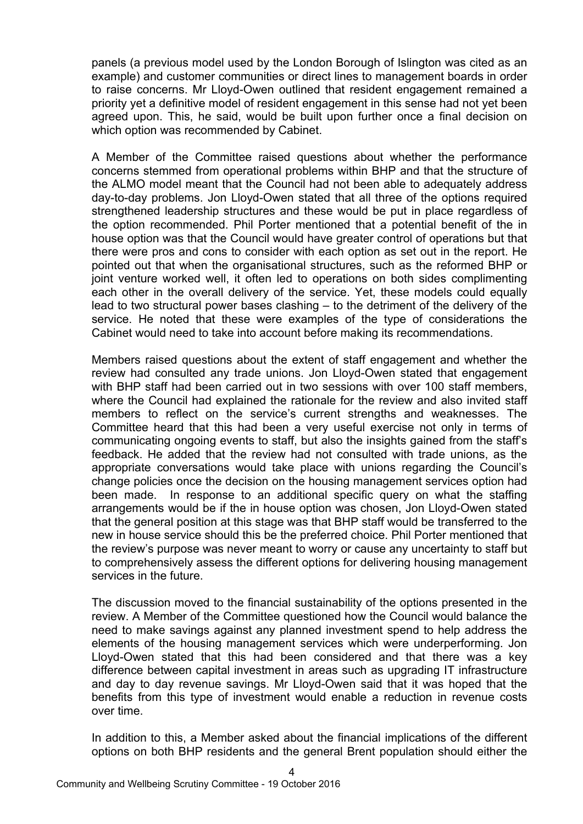panels (a previous model used by the London Borough of Islington was cited as an example) and customer communities or direct lines to management boards in order to raise concerns. Mr Lloyd-Owen outlined that resident engagement remained a priority yet a definitive model of resident engagement in this sense had not yet been agreed upon. This, he said, would be built upon further once a final decision on which option was recommended by Cabinet.

A Member of the Committee raised questions about whether the performance concerns stemmed from operational problems within BHP and that the structure of the ALMO model meant that the Council had not been able to adequately address day-to-day problems. Jon Lloyd-Owen stated that all three of the options required strengthened leadership structures and these would be put in place regardless of the option recommended. Phil Porter mentioned that a potential benefit of the in house option was that the Council would have greater control of operations but that there were pros and cons to consider with each option as set out in the report. He pointed out that when the organisational structures, such as the reformed BHP or joint venture worked well, it often led to operations on both sides complimenting each other in the overall delivery of the service. Yet, these models could equally lead to two structural power bases clashing – to the detriment of the delivery of the service. He noted that these were examples of the type of considerations the Cabinet would need to take into account before making its recommendations.

Members raised questions about the extent of staff engagement and whether the review had consulted any trade unions. Jon Lloyd-Owen stated that engagement with BHP staff had been carried out in two sessions with over 100 staff members, where the Council had explained the rationale for the review and also invited staff members to reflect on the service's current strengths and weaknesses. The Committee heard that this had been a very useful exercise not only in terms of communicating ongoing events to staff, but also the insights gained from the staff's feedback. He added that the review had not consulted with trade unions, as the appropriate conversations would take place with unions regarding the Council's change policies once the decision on the housing management services option had been made. In response to an additional specific query on what the staffing arrangements would be if the in house option was chosen, Jon Lloyd-Owen stated that the general position at this stage was that BHP staff would be transferred to the new in house service should this be the preferred choice. Phil Porter mentioned that the review's purpose was never meant to worry or cause any uncertainty to staff but to comprehensively assess the different options for delivering housing management services in the future.

The discussion moved to the financial sustainability of the options presented in the review. A Member of the Committee questioned how the Council would balance the need to make savings against any planned investment spend to help address the elements of the housing management services which were underperforming. Jon Lloyd-Owen stated that this had been considered and that there was a key difference between capital investment in areas such as upgrading IT infrastructure and day to day revenue savings. Mr Lloyd-Owen said that it was hoped that the benefits from this type of investment would enable a reduction in revenue costs over time.

In addition to this, a Member asked about the financial implications of the different options on both BHP residents and the general Brent population should either the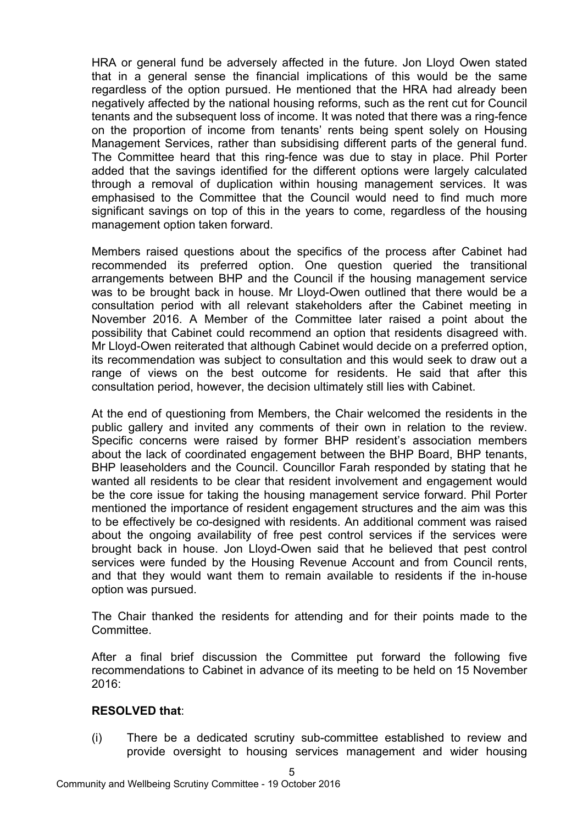HRA or general fund be adversely affected in the future. Jon Lloyd Owen stated that in a general sense the financial implications of this would be the same regardless of the option pursued. He mentioned that the HRA had already been negatively affected by the national housing reforms, such as the rent cut for Council tenants and the subsequent loss of income. It was noted that there was a ring-fence on the proportion of income from tenants' rents being spent solely on Housing Management Services, rather than subsidising different parts of the general fund. The Committee heard that this ring-fence was due to stay in place. Phil Porter added that the savings identified for the different options were largely calculated through a removal of duplication within housing management services. It was emphasised to the Committee that the Council would need to find much more significant savings on top of this in the years to come, regardless of the housing management option taken forward.

Members raised questions about the specifics of the process after Cabinet had recommended its preferred option. One question queried the transitional arrangements between BHP and the Council if the housing management service was to be brought back in house. Mr Lloyd-Owen outlined that there would be a consultation period with all relevant stakeholders after the Cabinet meeting in November 2016. A Member of the Committee later raised a point about the possibility that Cabinet could recommend an option that residents disagreed with. Mr Lloyd-Owen reiterated that although Cabinet would decide on a preferred option, its recommendation was subject to consultation and this would seek to draw out a range of views on the best outcome for residents. He said that after this consultation period, however, the decision ultimately still lies with Cabinet.

At the end of questioning from Members, the Chair welcomed the residents in the public gallery and invited any comments of their own in relation to the review. Specific concerns were raised by former BHP resident's association members about the lack of coordinated engagement between the BHP Board, BHP tenants, BHP leaseholders and the Council. Councillor Farah responded by stating that he wanted all residents to be clear that resident involvement and engagement would be the core issue for taking the housing management service forward. Phil Porter mentioned the importance of resident engagement structures and the aim was this to be effectively be co-designed with residents. An additional comment was raised about the ongoing availability of free pest control services if the services were brought back in house. Jon Lloyd-Owen said that he believed that pest control services were funded by the Housing Revenue Account and from Council rents, and that they would want them to remain available to residents if the in-house option was pursued.

The Chair thanked the residents for attending and for their points made to the Committee.

After a final brief discussion the Committee put forward the following five recommendations to Cabinet in advance of its meeting to be held on 15 November 2016:

# **RESOLVED that**:

(i) There be a dedicated scrutiny sub-committee established to review and provide oversight to housing services management and wider housing